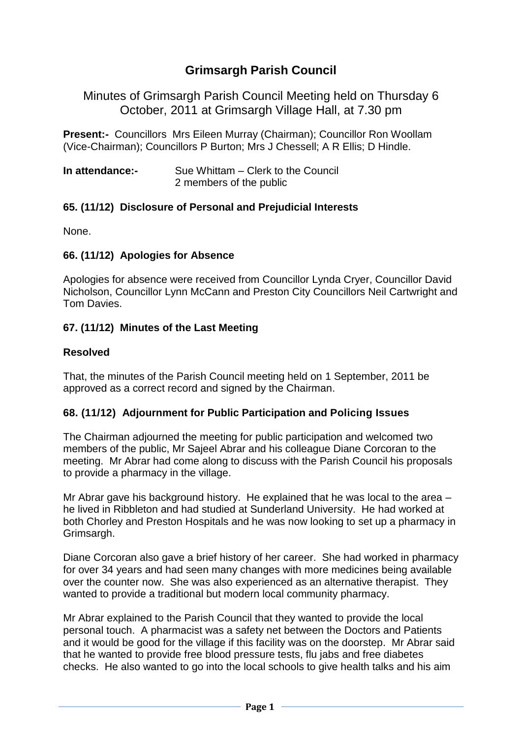# **Grimsargh Parish Council**

Minutes of Grimsargh Parish Council Meeting held on Thursday 6 October, 2011 at Grimsargh Village Hall, at 7.30 pm

**Present:-** Councillors Mrs Eileen Murray (Chairman); Councillor Ron Woollam (Vice-Chairman); Councillors P Burton; Mrs J Chessell; A R Ellis; D Hindle.

| In attendance:- | Sue Whittam – Clerk to the Council |
|-----------------|------------------------------------|
|                 | 2 members of the public            |

## **65. (11/12) Disclosure of Personal and Prejudicial Interests**

None.

### **66. (11/12) Apologies for Absence**

Apologies for absence were received from Councillor Lynda Cryer, Councillor David Nicholson, Councillor Lynn McCann and Preston City Councillors Neil Cartwright and Tom Davies.

### **67. (11/12) Minutes of the Last Meeting**

#### **Resolved**

That, the minutes of the Parish Council meeting held on 1 September, 2011 be approved as a correct record and signed by the Chairman.

### **68. (11/12) Adjournment for Public Participation and Policing Issues**

The Chairman adjourned the meeting for public participation and welcomed two members of the public, Mr Sajeel Abrar and his colleague Diane Corcoran to the meeting. Mr Abrar had come along to discuss with the Parish Council his proposals to provide a pharmacy in the village.

Mr Abrar gave his background history. He explained that he was local to the area – he lived in Ribbleton and had studied at Sunderland University. He had worked at both Chorley and Preston Hospitals and he was now looking to set up a pharmacy in Grimsargh.

Diane Corcoran also gave a brief history of her career. She had worked in pharmacy for over 34 years and had seen many changes with more medicines being available over the counter now. She was also experienced as an alternative therapist. They wanted to provide a traditional but modern local community pharmacy.

Mr Abrar explained to the Parish Council that they wanted to provide the local personal touch. A pharmacist was a safety net between the Doctors and Patients and it would be good for the village if this facility was on the doorstep. Mr Abrar said that he wanted to provide free blood pressure tests, flu jabs and free diabetes checks. He also wanted to go into the local schools to give health talks and his aim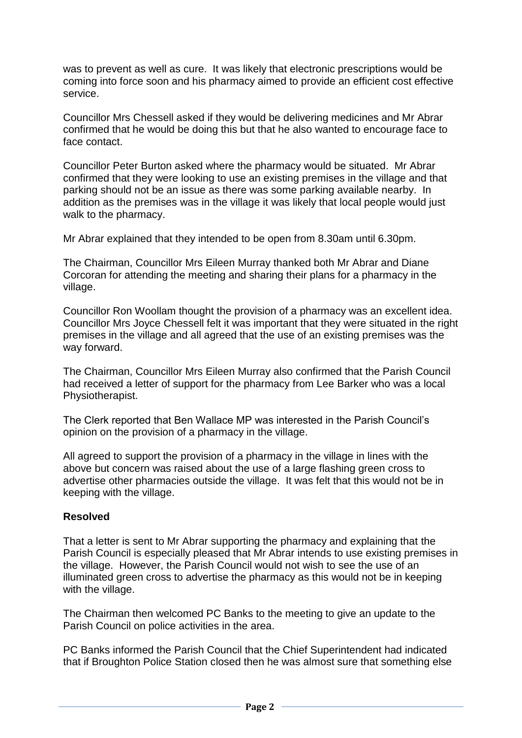was to prevent as well as cure. It was likely that electronic prescriptions would be coming into force soon and his pharmacy aimed to provide an efficient cost effective service.

Councillor Mrs Chessell asked if they would be delivering medicines and Mr Abrar confirmed that he would be doing this but that he also wanted to encourage face to face contact.

Councillor Peter Burton asked where the pharmacy would be situated. Mr Abrar confirmed that they were looking to use an existing premises in the village and that parking should not be an issue as there was some parking available nearby. In addition as the premises was in the village it was likely that local people would just walk to the pharmacy.

Mr Abrar explained that they intended to be open from 8.30am until 6.30pm.

The Chairman, Councillor Mrs Eileen Murray thanked both Mr Abrar and Diane Corcoran for attending the meeting and sharing their plans for a pharmacy in the village.

Councillor Ron Woollam thought the provision of a pharmacy was an excellent idea. Councillor Mrs Joyce Chessell felt it was important that they were situated in the right premises in the village and all agreed that the use of an existing premises was the way forward.

The Chairman, Councillor Mrs Eileen Murray also confirmed that the Parish Council had received a letter of support for the pharmacy from Lee Barker who was a local Physiotherapist.

The Clerk reported that Ben Wallace MP was interested in the Parish Council's opinion on the provision of a pharmacy in the village.

All agreed to support the provision of a pharmacy in the village in lines with the above but concern was raised about the use of a large flashing green cross to advertise other pharmacies outside the village. It was felt that this would not be in keeping with the village.

## **Resolved**

That a letter is sent to Mr Abrar supporting the pharmacy and explaining that the Parish Council is especially pleased that Mr Abrar intends to use existing premises in the village. However, the Parish Council would not wish to see the use of an illuminated green cross to advertise the pharmacy as this would not be in keeping with the village.

The Chairman then welcomed PC Banks to the meeting to give an update to the Parish Council on police activities in the area.

PC Banks informed the Parish Council that the Chief Superintendent had indicated that if Broughton Police Station closed then he was almost sure that something else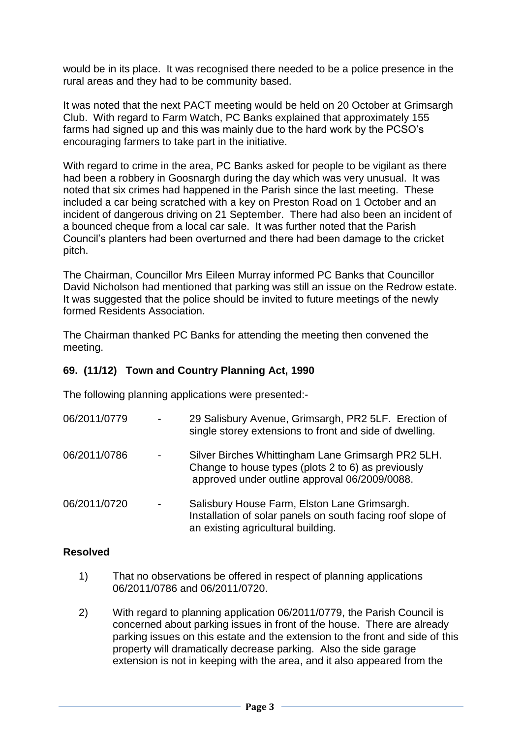would be in its place. It was recognised there needed to be a police presence in the rural areas and they had to be community based.

It was noted that the next PACT meeting would be held on 20 October at Grimsargh Club. With regard to Farm Watch, PC Banks explained that approximately 155 farms had signed up and this was mainly due to the hard work by the PCSO's encouraging farmers to take part in the initiative.

With regard to crime in the area, PC Banks asked for people to be vigilant as there had been a robbery in Goosnargh during the day which was very unusual. It was noted that six crimes had happened in the Parish since the last meeting. These included a car being scratched with a key on Preston Road on 1 October and an incident of dangerous driving on 21 September. There had also been an incident of a bounced cheque from a local car sale. It was further noted that the Parish Council's planters had been overturned and there had been damage to the cricket pitch.

The Chairman, Councillor Mrs Eileen Murray informed PC Banks that Councillor David Nicholson had mentioned that parking was still an issue on the Redrow estate. It was suggested that the police should be invited to future meetings of the newly formed Residents Association.

The Chairman thanked PC Banks for attending the meeting then convened the meeting.

### **69. (11/12) Town and Country Planning Act, 1990**

The following planning applications were presented:-

| 06/2011/0779 | $\blacksquare$           | 29 Salisbury Avenue, Grimsargh, PR2 5LF. Erection of<br>single storey extensions to front and side of dwelling.                                           |
|--------------|--------------------------|-----------------------------------------------------------------------------------------------------------------------------------------------------------|
| 06/2011/0786 | $\overline{\phantom{a}}$ | Silver Birches Whittingham Lane Grimsargh PR2 5LH.<br>Change to house types (plots 2 to 6) as previously<br>approved under outline approval 06/2009/0088. |
| 06/2011/0720 | $\overline{\phantom{a}}$ | Salisbury House Farm, Elston Lane Grimsargh.<br>Installation of solar panels on south facing roof slope of<br>an existing agricultural building.          |

#### **Resolved**

- 1) That no observations be offered in respect of planning applications 06/2011/0786 and 06/2011/0720.
- 2) With regard to planning application 06/2011/0779, the Parish Council is concerned about parking issues in front of the house. There are already parking issues on this estate and the extension to the front and side of this property will dramatically decrease parking. Also the side garage extension is not in keeping with the area, and it also appeared from the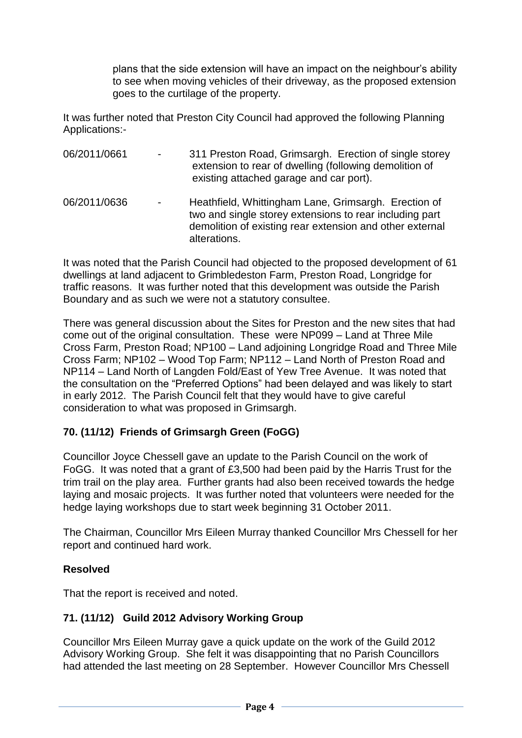plans that the side extension will have an impact on the neighbour's ability to see when moving vehicles of their driveway, as the proposed extension goes to the curtilage of the property.

It was further noted that Preston City Council had approved the following Planning Applications:-

| 06/2011/0661 | $\blacksquare$ | 311 Preston Road, Grimsargh. Erection of single storey<br>extension to rear of dwelling (following demolition of<br>existing attached garage and car port).                                 |
|--------------|----------------|---------------------------------------------------------------------------------------------------------------------------------------------------------------------------------------------|
| 06/2011/0636 | $\blacksquare$ | Heathfield, Whittingham Lane, Grimsargh. Erection of<br>two and single storey extensions to rear including part<br>demolition of existing rear extension and other external<br>alterations. |

It was noted that the Parish Council had objected to the proposed development of 61 dwellings at land adjacent to Grimbledeston Farm, Preston Road, Longridge for traffic reasons. It was further noted that this development was outside the Parish Boundary and as such we were not a statutory consultee.

There was general discussion about the Sites for Preston and the new sites that had come out of the original consultation. These were NP099 – Land at Three Mile Cross Farm, Preston Road; NP100 – Land adjoining Longridge Road and Three Mile Cross Farm; NP102 – Wood Top Farm; NP112 – Land North of Preston Road and NP114 – Land North of Langden Fold/East of Yew Tree Avenue. It was noted that the consultation on the "Preferred Options" had been delayed and was likely to start in early 2012. The Parish Council felt that they would have to give careful consideration to what was proposed in Grimsargh.

# **70. (11/12) Friends of Grimsargh Green (FoGG)**

Councillor Joyce Chessell gave an update to the Parish Council on the work of FoGG. It was noted that a grant of £3,500 had been paid by the Harris Trust for the trim trail on the play area. Further grants had also been received towards the hedge laying and mosaic projects. It was further noted that volunteers were needed for the hedge laying workshops due to start week beginning 31 October 2011.

The Chairman, Councillor Mrs Eileen Murray thanked Councillor Mrs Chessell for her report and continued hard work.

## **Resolved**

That the report is received and noted.

# **71. (11/12) Guild 2012 Advisory Working Group**

Councillor Mrs Eileen Murray gave a quick update on the work of the Guild 2012 Advisory Working Group. She felt it was disappointing that no Parish Councillors had attended the last meeting on 28 September. However Councillor Mrs Chessell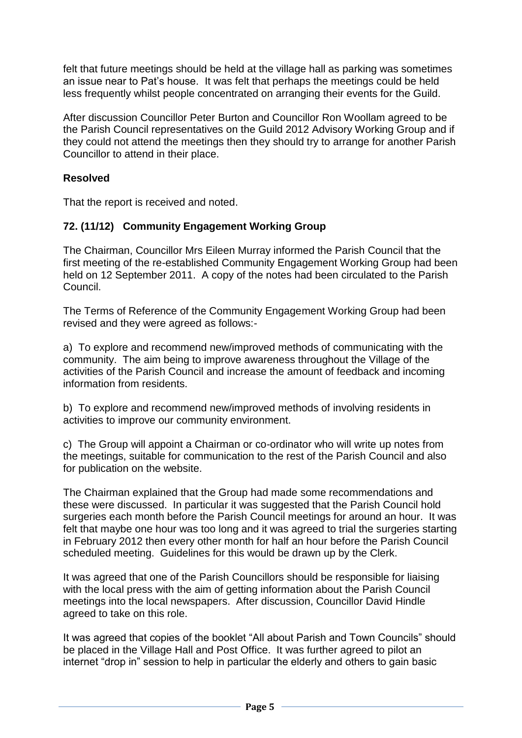felt that future meetings should be held at the village hall as parking was sometimes an issue near to Pat's house. It was felt that perhaps the meetings could be held less frequently whilst people concentrated on arranging their events for the Guild.

After discussion Councillor Peter Burton and Councillor Ron Woollam agreed to be the Parish Council representatives on the Guild 2012 Advisory Working Group and if they could not attend the meetings then they should try to arrange for another Parish Councillor to attend in their place.

## **Resolved**

That the report is received and noted.

# **72. (11/12) Community Engagement Working Group**

The Chairman, Councillor Mrs Eileen Murray informed the Parish Council that the first meeting of the re-established Community Engagement Working Group had been held on 12 September 2011. A copy of the notes had been circulated to the Parish Council.

The Terms of Reference of the Community Engagement Working Group had been revised and they were agreed as follows:-

a) To explore and recommend new/improved methods of communicating with the community. The aim being to improve awareness throughout the Village of the activities of the Parish Council and increase the amount of feedback and incoming information from residents.

b) To explore and recommend new/improved methods of involving residents in activities to improve our community environment.

c) The Group will appoint a Chairman or co-ordinator who will write up notes from the meetings, suitable for communication to the rest of the Parish Council and also for publication on the website.

The Chairman explained that the Group had made some recommendations and these were discussed. In particular it was suggested that the Parish Council hold surgeries each month before the Parish Council meetings for around an hour. It was felt that maybe one hour was too long and it was agreed to trial the surgeries starting in February 2012 then every other month for half an hour before the Parish Council scheduled meeting. Guidelines for this would be drawn up by the Clerk.

It was agreed that one of the Parish Councillors should be responsible for liaising with the local press with the aim of getting information about the Parish Council meetings into the local newspapers. After discussion, Councillor David Hindle agreed to take on this role.

It was agreed that copies of the booklet "All about Parish and Town Councils" should be placed in the Village Hall and Post Office. It was further agreed to pilot an internet "drop in" session to help in particular the elderly and others to gain basic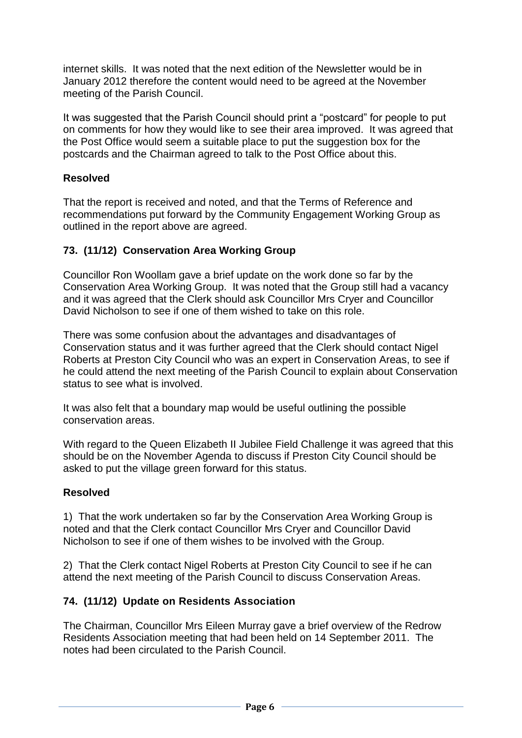internet skills. It was noted that the next edition of the Newsletter would be in January 2012 therefore the content would need to be agreed at the November meeting of the Parish Council.

It was suggested that the Parish Council should print a "postcard" for people to put on comments for how they would like to see their area improved. It was agreed that the Post Office would seem a suitable place to put the suggestion box for the postcards and the Chairman agreed to talk to the Post Office about this.

## **Resolved**

That the report is received and noted, and that the Terms of Reference and recommendations put forward by the Community Engagement Working Group as outlined in the report above are agreed.

## **73. (11/12) Conservation Area Working Group**

Councillor Ron Woollam gave a brief update on the work done so far by the Conservation Area Working Group. It was noted that the Group still had a vacancy and it was agreed that the Clerk should ask Councillor Mrs Cryer and Councillor David Nicholson to see if one of them wished to take on this role.

There was some confusion about the advantages and disadvantages of Conservation status and it was further agreed that the Clerk should contact Nigel Roberts at Preston City Council who was an expert in Conservation Areas, to see if he could attend the next meeting of the Parish Council to explain about Conservation status to see what is involved.

It was also felt that a boundary map would be useful outlining the possible conservation areas.

With regard to the Queen Elizabeth II Jubilee Field Challenge it was agreed that this should be on the November Agenda to discuss if Preston City Council should be asked to put the village green forward for this status.

#### **Resolved**

1) That the work undertaken so far by the Conservation Area Working Group is noted and that the Clerk contact Councillor Mrs Cryer and Councillor David Nicholson to see if one of them wishes to be involved with the Group.

2) That the Clerk contact Nigel Roberts at Preston City Council to see if he can attend the next meeting of the Parish Council to discuss Conservation Areas.

## **74. (11/12) Update on Residents Association**

The Chairman, Councillor Mrs Eileen Murray gave a brief overview of the Redrow Residents Association meeting that had been held on 14 September 2011. The notes had been circulated to the Parish Council.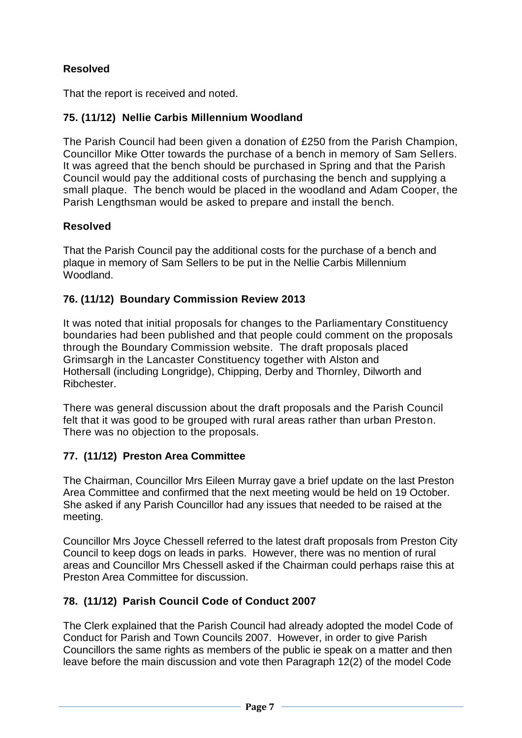# **Resolved**

That the report is received and noted.

# **75. (11/12) Nellie Carbis Millennium Woodland**

The Parish Council had been given a donation of £250 from the Parish Champion, Councillor Mike Otter towards the purchase of a bench in memory of Sam Sellers. It was agreed that the bench should be purchased in Spring and that the Parish Council would pay the additional costs of purchasing the bench and supplying a small plaque. The bench would be placed in the woodland and Adam Cooper, the Parish Lengthsman would be asked to prepare and install the bench.

# **Resolved**

That the Parish Council pay the additional costs for the purchase of a bench and plaque in memory of Sam Sellers to be put in the Nellie Carbis Millennium Woodland.

# **76. (11/12) Boundary Commission Review 2013**

It was noted that initial proposals for changes to the Parliamentary Constituency boundaries had been published and that people could comment on the proposals through the Boundary Commission website. The draft proposals placed Grimsargh in the Lancaster Constituency together with Alston and Hothersall (including Longridge), Chipping, Derby and Thornley, Dilworth and Ribchester.

There was general discussion about the draft proposals and the Parish Council felt that it was good to be grouped with rural areas rather than urban Preston. There was no objection to the proposals.

# **77. (11/12) Preston Area Committee**

The Chairman, Councillor Mrs Eileen Murray gave a brief update on the last Preston Area Committee and confirmed that the next meeting would be held on 19 October. She asked if any Parish Councillor had any issues that needed to be raised at the meeting.

Councillor Mrs Joyce Chessell referred to the latest draft proposals from Preston City Council to keep dogs on leads in parks. However, there was no mention of rural areas and Councillor Mrs Chessell asked if the Chairman could perhaps raise this at Preston Area Committee for discussion.

# **78. (11/12) Parish Council Code of Conduct 2007**

The Clerk explained that the Parish Council had already adopted the model Code of Conduct for Parish and Town Councils 2007. However, in order to give Parish Councillors the same rights as members of the public ie speak on a matter and then leave before the main discussion and vote then Paragraph 12(2) of the model Code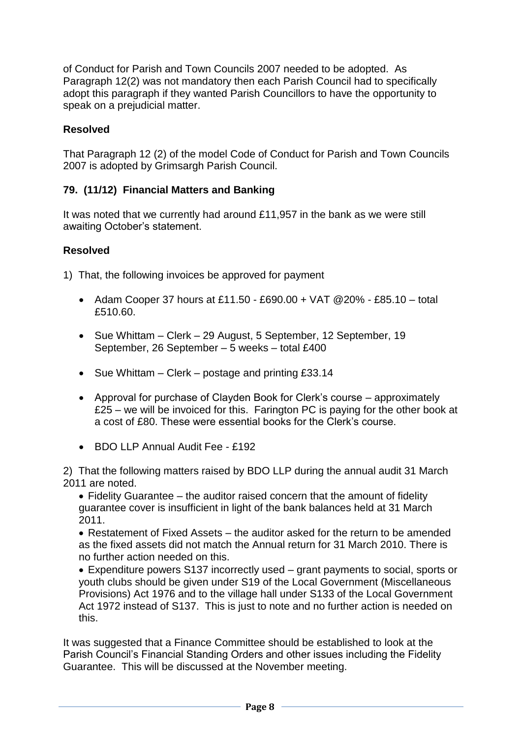of Conduct for Parish and Town Councils 2007 needed to be adopted. As Paragraph 12(2) was not mandatory then each Parish Council had to specifically adopt this paragraph if they wanted Parish Councillors to have the opportunity to speak on a prejudicial matter.

# **Resolved**

That Paragraph 12 (2) of the model Code of Conduct for Parish and Town Councils 2007 is adopted by Grimsargh Parish Council.

# **79. (11/12) Financial Matters and Banking**

It was noted that we currently had around £11,957 in the bank as we were still awaiting October's statement.

## **Resolved**

1) That, the following invoices be approved for payment

- Adam Cooper 37 hours at £11.50 £690.00 + VAT  $@20\%$  £85.10 total £510.60.
- Sue Whittam Clerk 29 August, 5 September, 12 September, 19 September, 26 September – 5 weeks – total £400
- Sue Whittam Clerk postage and printing  $£33.14$
- Approval for purchase of Clayden Book for Clerk's course approximately £25 – we will be invoiced for this. Farington PC is paying for the other book at a cost of £80. These were essential books for the Clerk's course.
- BDO LLP Annual Audit Fee £192

2) That the following matters raised by BDO LLP during the annual audit 31 March 2011 are noted.

 Fidelity Guarantee – the auditor raised concern that the amount of fidelity guarantee cover is insufficient in light of the bank balances held at 31 March 2011.

 Restatement of Fixed Assets – the auditor asked for the return to be amended as the fixed assets did not match the Annual return for 31 March 2010. There is no further action needed on this.

 Expenditure powers S137 incorrectly used – grant payments to social, sports or youth clubs should be given under S19 of the Local Government (Miscellaneous Provisions) Act 1976 and to the village hall under S133 of the Local Government Act 1972 instead of S137. This is just to note and no further action is needed on this.

It was suggested that a Finance Committee should be established to look at the Parish Council's Financial Standing Orders and other issues including the Fidelity Guarantee. This will be discussed at the November meeting.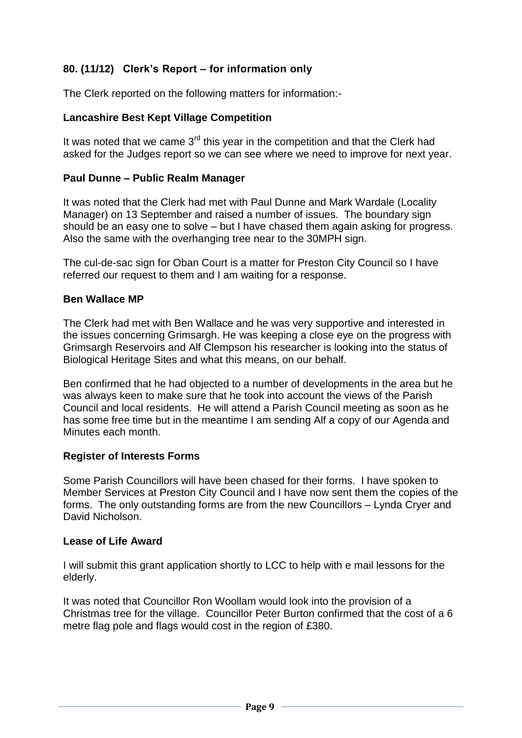# **80. (11/12) Clerk's Report – for information only**

The Clerk reported on the following matters for information:-

### **Lancashire Best Kept Village Competition**

It was noted that we came  $3<sup>rd</sup>$  this year in the competition and that the Clerk had asked for the Judges report so we can see where we need to improve for next year.

### **Paul Dunne – Public Realm Manager**

It was noted that the Clerk had met with Paul Dunne and Mark Wardale (Locality Manager) on 13 September and raised a number of issues. The boundary sign should be an easy one to solve – but I have chased them again asking for progress. Also the same with the overhanging tree near to the 30MPH sign.

The cul-de-sac sign for Oban Court is a matter for Preston City Council so I have referred our request to them and I am waiting for a response.

#### **Ben Wallace MP**

The Clerk had met with Ben Wallace and he was very supportive and interested in the issues concerning Grimsargh. He was keeping a close eye on the progress with Grimsargh Reservoirs and Alf Clempson his researcher is looking into the status of Biological Heritage Sites and what this means, on our behalf.

Ben confirmed that he had objected to a number of developments in the area but he was always keen to make sure that he took into account the views of the Parish Council and local residents. He will attend a Parish Council meeting as soon as he has some free time but in the meantime I am sending Alf a copy of our Agenda and Minutes each month.

#### **Register of Interests Forms**

Some Parish Councillors will have been chased for their forms. I have spoken to Member Services at Preston City Council and I have now sent them the copies of the forms. The only outstanding forms are from the new Councillors – Lynda Cryer and David Nicholson.

### **Lease of Life Award**

I will submit this grant application shortly to LCC to help with e mail lessons for the elderly.

It was noted that Councillor Ron Woollam would look into the provision of a Christmas tree for the village. Councillor Peter Burton confirmed that the cost of a 6 metre flag pole and flags would cost in the region of £380.